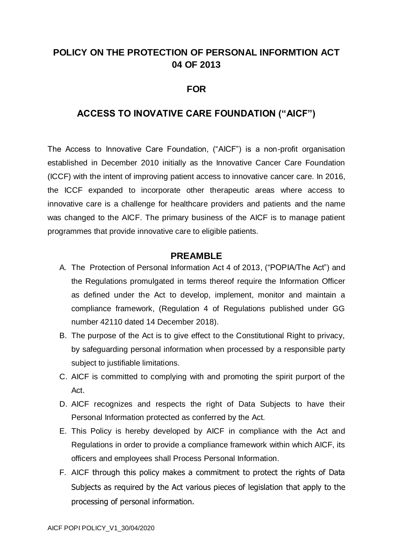# **POLICY ON THE PROTECTION OF PERSONAL INFORMTION ACT 04 OF 2013**

## **FOR**

# **ACCESS TO INOVATIVE CARE FOUNDATION ("AICF")**

The Access to Innovative Care Foundation, ("AICF") is a non-profit organisation established in December 2010 initially as the Innovative Cancer Care Foundation (ICCF) with the intent of improving patient access to innovative cancer care. In 2016, the ICCF expanded to incorporate other therapeutic areas where access to innovative care is a challenge for healthcare providers and patients and the name was changed to the AICF. The primary business of the AICF is to manage patient programmes that provide innovative care to eligible patients.

#### **PREAMBLE**

- A. The Protection of Personal Information Act 4 of 2013, ("POPIA/The Act") and the Regulations promulgated in terms thereof require the Information Officer as defined under the Act to develop, implement, monitor and maintain a compliance framework, (Regulation 4 of Regulations published under GG number 42110 dated 14 December 2018).
- B. The purpose of the Act is to give effect to the Constitutional Right to privacy, by safeguarding personal information when processed by a responsible party subject to justifiable limitations.
- C. AICF is committed to complying with and promoting the spirit purport of the Act.
- D. AICF recognizes and respects the right of Data Subjects to have their Personal Information protected as conferred by the Act.
- E. This Policy is hereby developed by AICF in compliance with the Act and Regulations in order to provide a compliance framework within which AICF, its officers and employees shall Process Personal Information.
- F. AICF through this policy makes a commitment to protect the rights of Data Subjects as required by the Act various pieces of legislation that apply to the processing of personal information.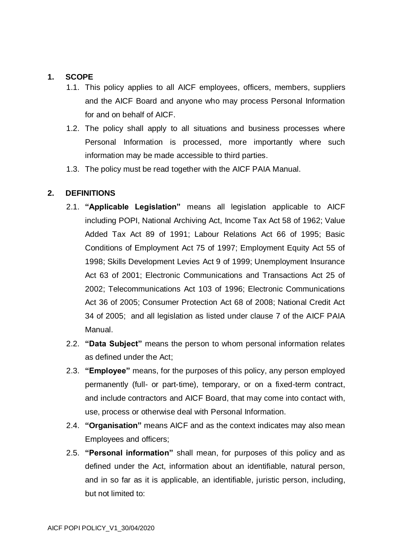#### **1. SCOPE**

- 1.1. This policy applies to all AICF employees, officers, members, suppliers and the AICF Board and anyone who may process Personal Information for and on behalf of AICF.
- 1.2. The policy shall apply to all situations and business processes where Personal Information is processed, more importantly where such information may be made accessible to third parties.
- 1.3. The policy must be read together with the AICF PAIA Manual.

#### **2. DEFINITIONS**

- 2.1. **"Applicable Legislation"** means all legislation applicable to AICF including POPI, National Archiving Act, Income Tax Act 58 of 1962; Value Added Tax Act 89 of 1991; Labour Relations Act 66 of 1995; Basic Conditions of Employment Act 75 of 1997; Employment Equity Act 55 of 1998; Skills Development Levies Act 9 of 1999; Unemployment Insurance Act 63 of 2001; Electronic Communications and Transactions Act 25 of 2002; Telecommunications Act 103 of 1996; Electronic Communications Act 36 of 2005; Consumer Protection Act 68 of 2008; National Credit Act 34 of 2005; and all legislation as listed under clause 7 of the AICF PAIA Manual.
- 2.2. **"Data Subject"** means the person to whom personal information relates as defined under the Act;
- 2.3. **"Employee"** means, for the purposes of this policy, any person employed permanently (full- or part-time), temporary, or on a fixed-term contract, and include contractors and AICF Board, that may come into contact with, use, process or otherwise deal with Personal Information.
- 2.4. **"Organisation"** means AICF and as the context indicates may also mean Employees and officers;
- 2.5. **"Personal information"** shall mean, for purposes of this policy and as defined under the Act, information about an identifiable, natural person, and in so far as it is applicable, an identifiable, juristic person, including, but not limited to: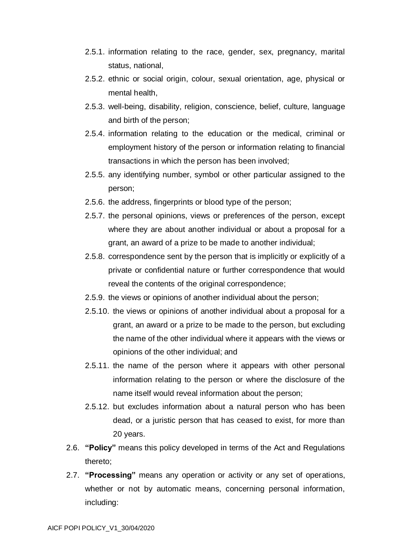- 2.5.1. information relating to the race, gender, sex, pregnancy, marital status, national,
- 2.5.2. ethnic or social origin, colour, sexual orientation, age, physical or mental health,
- 2.5.3. well-being, disability, religion, conscience, belief, culture, language and birth of the person;
- 2.5.4. information relating to the education or the medical, criminal or employment history of the person or information relating to financial transactions in which the person has been involved;
- 2.5.5. any identifying number, symbol or other particular assigned to the person;
- 2.5.6. the address, fingerprints or blood type of the person;
- 2.5.7. the personal opinions, views or preferences of the person, except where they are about another individual or about a proposal for a grant, an award of a prize to be made to another individual;
- 2.5.8. correspondence sent by the person that is implicitly or explicitly of a private or confidential nature or further correspondence that would reveal the contents of the original correspondence;
- 2.5.9. the views or opinions of another individual about the person;
- 2.5.10. the views or opinions of another individual about a proposal for a grant, an award or a prize to be made to the person, but excluding the name of the other individual where it appears with the views or opinions of the other individual; and
- 2.5.11. the name of the person where it appears with other personal information relating to the person or where the disclosure of the name itself would reveal information about the person;
- 2.5.12. but excludes information about a natural person who has been dead, or a juristic person that has ceased to exist, for more than 20 years.
- 2.6. **"Policy"** means this policy developed in terms of the Act and Regulations thereto;
- 2.7. **"Processing"** means any operation or activity or any set of operations, whether or not by automatic means, concerning personal information, including: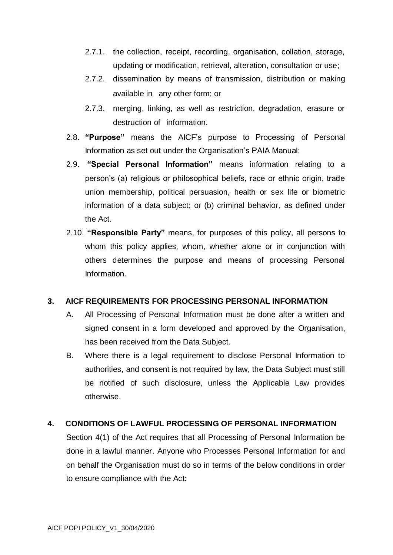- 2.7.1. the collection, receipt, recording, organisation, collation, storage, updating or modification, retrieval, alteration, consultation or use;
- 2.7.2. dissemination by means of transmission, distribution or making available in any other form; or
- 2.7.3. merging, linking, as well as restriction, degradation, erasure or destruction of information.
- 2.8. **"Purpose"** means the AICF's purpose to Processing of Personal Information as set out under the Organisation's PAIA Manual;
- 2.9. **"Special Personal Information"** means information relating to a person's (a) religious or philosophical beliefs, race or ethnic origin, trade union membership, political persuasion, health or sex life or biometric information of a data subject; or (b) criminal behavior, as defined under the Act.
- 2.10. **"Responsible Party"** means, for purposes of this policy, all persons to whom this policy applies, whom, whether alone or in conjunction with others determines the purpose and means of processing Personal Information.

### **3. AICF REQUIREMENTS FOR PROCESSING PERSONAL INFORMATION**

- A. All Processing of Personal Information must be done after a written and signed consent in a form developed and approved by the Organisation, has been received from the Data Subject.
- B. Where there is a legal requirement to disclose Personal Information to authorities, and consent is not required by law, the Data Subject must still be notified of such disclosure, unless the Applicable Law provides otherwise.

### **4. CONDITIONS OF LAWFUL PROCESSING OF PERSONAL INFORMATION**

Section 4(1) of the Act requires that all Processing of Personal Information be done in a lawful manner. Anyone who Processes Personal Information for and on behalf the Organisation must do so in terms of the below conditions in order to ensure compliance with the Act: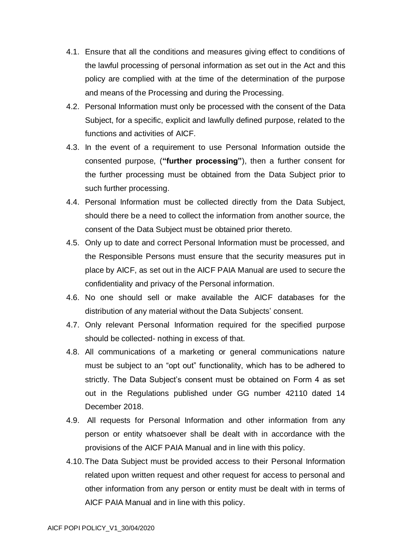- 4.1. Ensure that all the conditions and measures giving effect to conditions of the lawful processing of personal information as set out in the Act and this policy are complied with at the time of the determination of the purpose and means of the Processing and during the Processing.
- 4.2. Personal Information must only be processed with the consent of the Data Subject, for a specific, explicit and lawfully defined purpose, related to the functions and activities of AICF.
- 4.3. In the event of a requirement to use Personal Information outside the consented purpose, (**"further processing"**), then a further consent for the further processing must be obtained from the Data Subject prior to such further processing.
- 4.4. Personal Information must be collected directly from the Data Subject, should there be a need to collect the information from another source, the consent of the Data Subject must be obtained prior thereto.
- 4.5. Only up to date and correct Personal Information must be processed, and the Responsible Persons must ensure that the security measures put in place by AICF, as set out in the AICF PAIA Manual are used to secure the confidentiality and privacy of the Personal information.
- 4.6. No one should sell or make available the AICF databases for the distribution of any material without the Data Subjects' consent.
- 4.7. Only relevant Personal Information required for the specified purpose should be collected- nothing in excess of that.
- 4.8. All communications of a marketing or general communications nature must be subject to an "opt out" functionality, which has to be adhered to strictly. The Data Subject's consent must be obtained on Form 4 as set out in the Regulations published under GG number 42110 dated 14 December 2018.
- 4.9. All requests for Personal Information and other information from any person or entity whatsoever shall be dealt with in accordance with the provisions of the AICF PAIA Manual and in line with this policy.
- 4.10.The Data Subject must be provided access to their Personal Information related upon written request and other request for access to personal and other information from any person or entity must be dealt with in terms of AICF PAIA Manual and in line with this policy.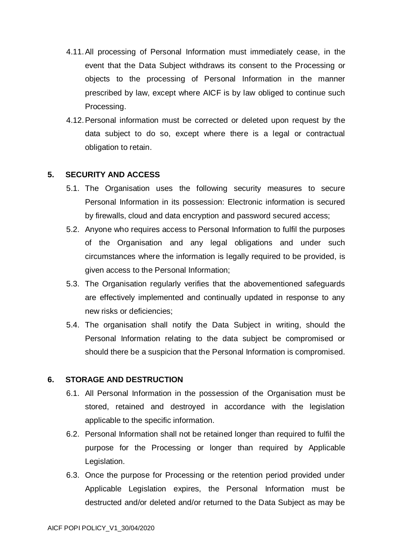- 4.11.All processing of Personal Information must immediately cease, in the event that the Data Subject withdraws its consent to the Processing or objects to the processing of Personal Information in the manner prescribed by law, except where AICF is by law obliged to continue such Processing.
- 4.12.Personal information must be corrected or deleted upon request by the data subject to do so, except where there is a legal or contractual obligation to retain.

### **5. SECURITY AND ACCESS**

- 5.1. The Organisation uses the following security measures to secure Personal Information in its possession: Electronic information is secured by firewalls, cloud and data encryption and password secured access;
- 5.2. Anyone who requires access to Personal Information to fulfil the purposes of the Organisation and any legal obligations and under such circumstances where the information is legally required to be provided, is given access to the Personal Information;
- 5.3. The Organisation regularly verifies that the abovementioned safeguards are effectively implemented and continually updated in response to any new risks or deficiencies;
- 5.4. The organisation shall notify the Data Subject in writing, should the Personal Information relating to the data subject be compromised or should there be a suspicion that the Personal Information is compromised.

#### **6. STORAGE AND DESTRUCTION**

- 6.1. All Personal Information in the possession of the Organisation must be stored, retained and destroyed in accordance with the legislation applicable to the specific information.
- 6.2. Personal Information shall not be retained longer than required to fulfil the purpose for the Processing or longer than required by Applicable Legislation.
- 6.3. Once the purpose for Processing or the retention period provided under Applicable Legislation expires, the Personal Information must be destructed and/or deleted and/or returned to the Data Subject as may be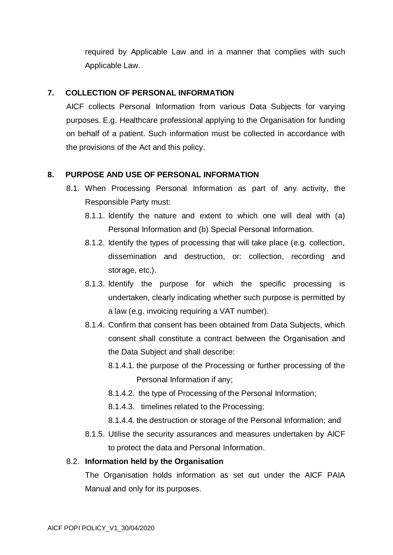required by Applicable Law and in a manner that complies with such Applicable Law.

### **7. COLLECTION OF PERSONAL INFORMATION**

AICF collects Personal Information from various Data Subjects for varying purposes. E.g. Healthcare professional applying to the Organisation for funding on behalf of a patient. Such information must be collected in accordance with the provisions of the Act and this policy.

#### **8. PURPOSE AND USE OF PERSONAL INFORMATION**

- 8.1. When Processing Personal Information as part of any activity, the Responsible Party must:
	- 8.1.1. Identify the nature and extent to which one will deal with (a) Personal Information and (b) Special Personal Information.
	- 8.1.2. Identify the types of processing that will take place (e.g. collection, dissemination and destruction, or: collection, recording and storage, etc.).
	- 8.1.3. Identify the purpose for which the specific processing is undertaken, clearly indicating whether such purpose is permitted by a law (e.g. invoicing requiring a VAT number).
	- 8.1.4. Confirm that consent has been obtained from Data Subjects, which consent shall constitute a contract between the Organisation and the Data Subject and shall describe:
		- 8.1.4.1. the purpose of the Processing or further processing of the Personal Information if any;
		- 8.1.4.2. the type of Processing of the Personal Information;
		- 8.1.4.3. timelines related to the Processing;
		- 8.1.4.4. the destruction or storage of the Personal Information; and
	- 8.1.5. Utilise the security assurances and measures undertaken by AICF to protect the data and Personal Information.

#### 8.2. **Information held by the Organisation**

The Organisation holds information as set out under the AICF PAIA Manual and only for its purposes.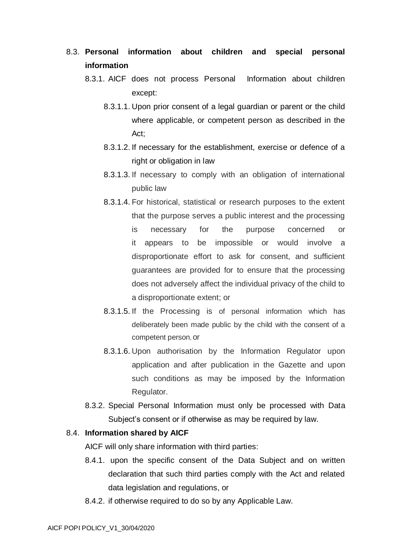- 8.3. **Personal information about children and special personal information**
	- 8.3.1. AICF does not process Personal Information about children except:
		- 8.3.1.1. Upon prior consent of a legal guardian or parent or the child where applicable, or competent person as described in the Act;
		- 8.3.1.2. If necessary for the establishment, exercise or defence of a right or obligation in law
		- 8.3.1.3. If necessary to comply with an obligation of international public law
		- 8.3.1.4. For historical, statistical or research purposes to the extent that the purpose serves a public interest and the processing is necessary for the purpose concerned or it appears to be impossible or would involve a disproportionate effort to ask for consent, and sufficient guarantees are provided for to ensure that the processing does not adversely affect the individual privacy of the child to a disproportionate extent; or
		- 8.3.1.5. If the Processing is of personal information which has deliberately been made public by the child with the consent of a competent person, or
		- 8.3.1.6. Upon authorisation by the Information Regulator upon application and after publication in the Gazette and upon such conditions as may be imposed by the Information Regulator.
	- 8.3.2. Special Personal Information must only be processed with Data Subject's consent or if otherwise as may be required by law.

#### 8.4. **Information shared by AICF**

AICF will only share information with third parties:

- 8.4.1. upon the specific consent of the Data Subject and on written declaration that such third parties comply with the Act and related data legislation and regulations, or
- 8.4.2. if otherwise required to do so by any Applicable Law.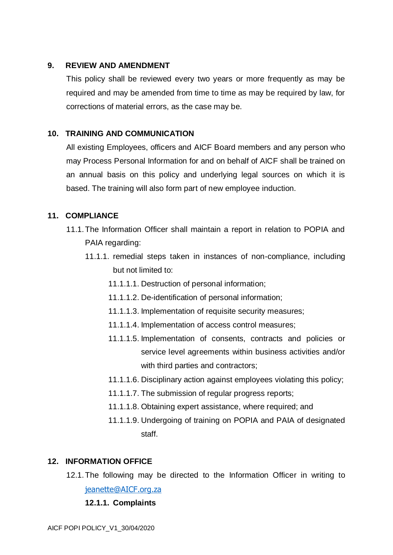#### **9. REVIEW AND AMENDMENT**

This policy shall be reviewed every two years or more frequently as may be required and may be amended from time to time as may be required by law, for corrections of material errors, as the case may be.

### **10. TRAINING AND COMMUNICATION**

All existing Employees, officers and AICF Board members and any person who may Process Personal Information for and on behalf of AICF shall be trained on an annual basis on this policy and underlying legal sources on which it is based. The training will also form part of new employee induction.

### **11. COMPLIANCE**

- 11.1.The Information Officer shall maintain a report in relation to POPIA and PAIA regarding:
	- 11.1.1. remedial steps taken in instances of non-compliance, including but not limited to:
		- 11.1.1.1. Destruction of personal information;
		- 11.1.1.2. De-identification of personal information;
		- 11.1.1.3. Implementation of requisite security measures;
		- 11.1.1.4. Implementation of access control measures;
		- 11.1.1.5. Implementation of consents, contracts and policies or service level agreements within business activities and/or with third parties and contractors;
		- 11.1.1.6. Disciplinary action against employees violating this policy;
		- 11.1.1.7. The submission of regular progress reports;
		- 11.1.1.8. Obtaining expert assistance, where required; and
		- 11.1.1.9. Undergoing of training on POPIA and PAIA of designated staff.

### **12. INFORMATION OFFICE**

12.1.The following may be directed to the Information Officer in writing to [jeanette@AICF.org.za](mailto:jeanette@AICF.org.za)

**12.1.1. Complaints**